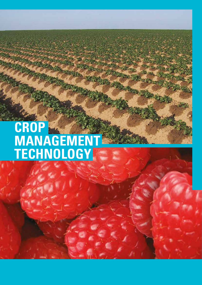# **CROP MANAGEMENT TECHNOLOGY**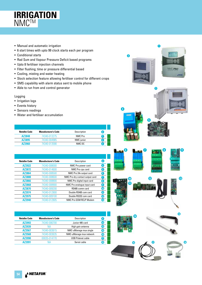

- Manual and automatic irrigation
- 6 start times with upto 99 clock starts each per program
- Conditional starts
- Rad Sum and Vapour Pressure Deficit based programs
- Upto 8 fertiliser injection channels
- Filter flushing; time or pressure differential based
- Cooling, misting and water heating
- Stock selection feature allowing fertiliser control for different crops
- SMS capability with alarm status sent to mobile phone
- Able to run from and control generator

#### Logging

- Irrigation logs
- Events history
- Sensors readings
- Water and fertiliser accumulation

| Netafim Code | <b>Manufacturer's Code</b> | Description | .#             |
|--------------|----------------------------|-------------|----------------|
| AZ3848       | 74340-013275               | NMC Pro     |                |
| AZ3895       | 74340-004985               | NMC junior  | $\overline{2}$ |
| A73960       | 74340-013590               | NMC DC      | 3              |

| <b>Netafim Code</b> | <b>Manufacturer's Code</b> | Description                     | #                 |
|---------------------|----------------------------|---------------------------------|-------------------|
| AZ3922              | 74340-008000               | NMC Pro power card              | $\overline{4}$    |
| AZ3872              | 74340-014600               | NMC Pro cpu card                | 5                 |
| AZ3864              | 74340-008500               | NMC Pro 24v output card         | $\lceil 6 \rceil$ |
| AZ3888              | 74340-008600               | NMC Pro dry contact output card | D                 |
| AZ3866              | 74340-008800               | NMC Pro digital input card      | $\overline{8}$    |
| AZ3868              | 74340-008900               | NMC Pro analoque input card     | $\left[ 9\right]$ |
| AZ3870              | 74340-009200               | RS485 comm card                 | $\bf \Phi$        |
| AZ3974              | 74340-012800               | Double RS485 com card           | ጠ                 |
| AZ3975              | 74340-009100               | Double RS232 com card           | <b>12</b>         |
| AZ3940              | 74340-012805               | NMC Pro GSM RCLP Modem          | $\overline{13}$   |

| <b>Netafim Code</b> | <b>Manufacturer's Code</b> | Description              | #               |
|---------------------|----------------------------|--------------------------|-----------------|
| AZ3993              | 74340-006700               | Junior 485 card          | 14              |
| AZ3939              | NΑ                         | High gain antenna        | $\sqrt{15}$     |
| AZ3567              | 74340-003615               | NMC-uManage mux single   | $\overline{16}$ |
| AZ3568              | 74340-003635               | NMC-uManage mux network  | 16)             |
| AZ3990              | 00035-014770               | <b>USB Polenet cable</b> | 17              |
| AZ3991              |                            | Serial cable             |                 |



**1**

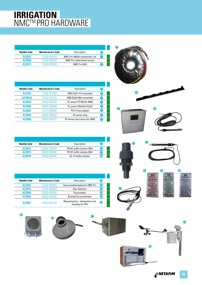# **IRRIGATION** NMCTM PRO HARDWARE

| Netafim Code | <b>Manufacturer's Code</b> | Description                      | $\frac{4}{11}$ |
|--------------|----------------------------|----------------------------------|----------------|
| AZ3937       | 74340-008100               | NMC Pro 240/24y transformer coil | $\mathbf{1}$   |
| AZ3936       | 74340-004920               | NMC Pro replacement screen       |                |
| A73971       | 74340-007800               | <b>NMC Pro BUS</b>               |                |

| #              | Description                    | <b>Manufacturer's Code</b> | <b>Netafim Code</b> |
|----------------|--------------------------------|----------------------------|---------------------|
| 3.             | ABB ECpH 12v transmitter       | 74360-007900               | AZ3992              |
| 3              | ABB ECpH 240v transmitter      | 74360-007700               | AZ3992A             |
| $\overline{4}$ | EC sensor PT100 (for ABB)      | 45000-006705               | AZ3879              |
| $\overline{4}$ | Ec sensor (Netafim ECpH)       | 45000-006690               | AZ3880              |
| 5)             | <b>PVC Probe adapter</b>       | 33120-008500               | AZ3881              |
| 6 <sup>1</sup> | Ph sensor plug                 | 45000-006692               | AZ3882              |
| 7              | Ph sensor bare wires (for ABB) | 45000-006701               | AZ3883              |
|                |                                |                            |                     |

| Netafim Code | <b>Manufacturer's Code</b> | Description                 | #               |
|--------------|----------------------------|-----------------------------|-----------------|
| AZ3874       | 45000-006440               | Ph4.01 buffer solution 20ml | $\bf{8}$        |
| AZ3875       | 45000-006460               | Ph7.01 buffer solution 20ml | '9              |
| A73878       | 45000-006480               | EC 1.4 buffer solution      | 10 <sup>2</sup> |

| <b>Netafim Code</b> | <b>Manufacturer's Code</b> | Description                                         | #               |
|---------------------|----------------------------|-----------------------------------------------------|-----------------|
| AZ3935              | 74340-004955               | Davis weatherstation for NMC Pro                    | ∈               |
| AZ3973              | 74340-004650               | <b>Rain Detector</b>                                | 12 <sub>2</sub> |
| AZ3903              | 74340-004550               | Pyranometer                                         | $\overline{13}$ |
| AZ3846              | 35500-003280               | <b>Bracket for pyranometer</b>                      | $\overline{14}$ |
| AZ3847              | 74340-004100               | Measuring box - temperature and<br>humidity for VPD | 15)             |





**14**



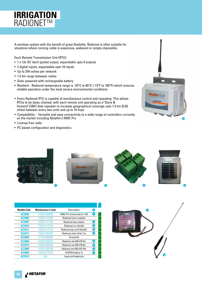# **IRRIGATION RADIONET™**

A wireless system with the benefit of great flexibility. Radionet is often suitable for situations where running cable is expensive, awkward or simply impossible.

Each Remote Transmission Unit (RTU):

- 1 x 12v DC latch (pulse) output, expandable upto 9 outputs
- 2 digital inputs, expandable upto 10 inputs
- Up to 254 valves per network
- 1.5 km range between radios
- Solar powered with rechargeable battery
- Resilient Radionet temperature range is -25°C to 85°C (-13°F to 185°F) which ensures reliable operation under the most severe environmental conditions
- Every Radionet RTU is capable of simultaneous control and repeating. This allows RTUs to be daisy chained, with each remote unit operating as a"Store & forward"(S&F) data repeater to increase geographical coverage upto 1.5 km (0.93 miles) between every two units and up to 14 hops
- Compatibility Versatile and easy connectivity to a wide range of controllers currently on the market including Netafim's NMC Pro
- License free radio
- PC based configuration and diagnostics





| <b>Netafim Code</b> | <b>Manufacturer's Code</b> | Description                 | #                  |
|---------------------|----------------------------|-----------------------------|--------------------|
| AZ3858              | 74340-009530               | NMC Pro license key for 128 | 0                  |
| AZ3908              | 74330-012000               | Radionet host complete      |                    |
| AZ3907              | 74330-012100               | Radionet base station       | 2                  |
| AZ3910              | 74330-012200               | Radionet rtu 1dox2di        | 3)                 |
| AZ3911              | 74330-013140               | Radionet exp card 2dox2di   | $\left[ 4 \right]$ |
| AZ3913              | 74330-002950               | Radionet solar kit 6v1.1w   | 5)                 |
| AZ3865              | 77100-005880               | Ground kit                  |                    |
| AZ3966              | 74330-005020               | Radionet ant 430-470 3m     | 6.                 |
| AZ3912              | 74330-005050               | Radionet ant 430-470 6m     | 6 <sup>1</sup>     |
| AZ3909              | 74330-005100               | Radionet ant 430-470 10m    | $\lceil 6 \rceil$  |
| AZ4000              | 74330-010220               | LiFeP04 battery 7v          | 7                  |
| AZ3914              | ΝA                         | Lead acid battery 6v        |                    |

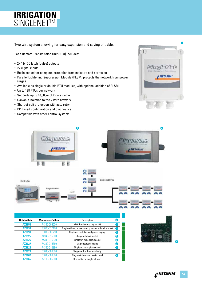# **IRRIGATION** SINGLENET<sup>™</sup>

Two wire system allowing for easy expansion and saving of cable.

Each Remote Transmission Unit (RTU) includes:

- 2x 12v DC latch (pulse) outputs
- 2x digital inputs
- Resin sealed for complete protection from moisture and corrosion
- Parallel Lightening Suppression Module (PLSM) protects the network from power surges
- Available as single or double RTU modules, with optional addition of PLSM
- Up to 128 RTUs per network
- Supports up to 10,000m of 2 core cable
- Galvanic isolation to the 2 wire network
- Short circuit protection with auto retry
- PC based configuration and diagnostics
- Compatible with other control systems





| <b>Netafim Code</b> | <b>Manufacturer's Code</b> | Description                                          | (#) |
|---------------------|----------------------------|------------------------------------------------------|-----|
| AZ3858              | 74340-009530               | NMC Pro license key for 128                          |     |
| AZ3893              | 33000-012100               | Singlenet host; power supply, loose card and bracket | (1) |
| AZ3890              | 00035-001750               | Singlenet host; box and power supply                 | 2   |
| AZ3925              | 74340-015800               | Singlenet rtux2 sealed                               | 3   |
| AZ3926              | 74340-015830               | Singlenet rtux2 plsm sealed                          | 3   |
| AZ3927              | 74340-015860               | Singlenet rtux4 sealed                               | 3   |
| AZ3928              | 74340-015890               | Singlenet rtux4 plsm sealed                          | 0   |
| AZ3929              | 00035-008300               | Singlenet 2 in 2 out card only                       |     |
| AZ3862              | 00035-008300               | Singlenet slsm suppression mod                       | 4   |
| AZ3865              | 7100-005880                | Ground kit for singlenet plsm                        |     |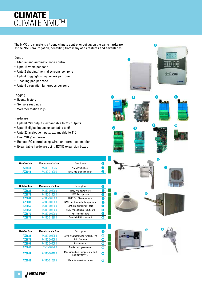# **CLIMATE** CLIMATE NMC™

The NMC pro climate is a 4 zone climate controller built upon the same hardware as the NMC pro irrigation, benefiting from many of its features and advantages.

### Control

- Manual and automatic zone control
- Upto 16 vents per zone
- Upto 2 shading/thermal screens per zone
- Upto 4 fogging/misting valves per zone
- 1 cooling pad per zone
- Upto 4 circulation fan groups per zone

### Logging

- Events history
- Sensors readings
- Weather station logs

### Hardware

- Upto 64 24v outputs, expandable to 255 outputs
- Upto 16 digital inputs, expandable to 96
- Upto 22 analogue inputs, expandable to 110
- Dual 240v/12v power
- Remote PC control using wired or internet connection
- Expandable hardware using RS485 expansion boxes

| Netafim Code | <b>Manufacturer's Code</b> | Description                  | # |
|--------------|----------------------------|------------------------------|---|
| AZ3848       | 74340-013275               | <b>NMC Pro Climate</b>       |   |
| A73948       | 74340-013995               | <b>NMC Pro Expansion Box</b> | 7 |

| Netafim Code | <b>Manufacturer's Code</b> | Description                     | #                       |
|--------------|----------------------------|---------------------------------|-------------------------|
| AZ3922       | 74340-008000               | NMC Pro power card              | 8                       |
| AZ3872       | 74340-014600               | NMC Pro cpu card                | 4                       |
| AZ3864       | 74340-008500               | NMC Pro 24v output card         | 5)                      |
| AZ3888       | 74340-008600               | NMC Pro dry contact output card | $\boxed{6}$             |
| AZ3866       | 74340-008800               | NMC Pro digital input card      | 7                       |
| AZ3868       | 74340-008900               | NMC Pro analoque input card     | $\overline{\mathbf{3}}$ |
| AZ3870       | 74340-009200               | RS485 comm card                 | 9 <sub>1</sub>          |
| AZ3974       | 74340-012800               | Double RS485 com card           | $\overline{10}$         |

| <b>Netafim Code</b> | <b>Manufacturer's Code</b> | Description                                         | #  |
|---------------------|----------------------------|-----------------------------------------------------|----|
| AZ3935              | 74340-004955               | Davis weatherstation for NMC Pro                    | ➊  |
| AZ3973              | 74340-004650               | <b>Rain Detector</b>                                | ®  |
| AZ3903              | 74340-004550               | Pyranometer                                         | ®  |
| AZ3846              | 35500-003280               | <b>Bracket for pyranometer</b>                      | 14 |
| AZ3847              | 74340-004100               | Measuring box - temperature and<br>humidity for VPD | ß  |
| AZ3949              | 74340-010305               | Water temperature sensor                            | 16 |







**2**







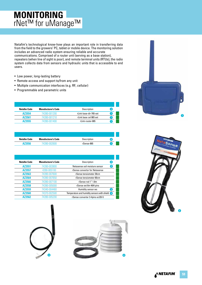# rNet™ for uManage™ **MONITORING**

Netafim's technological know-how plays an important role in transferring data from the field to the growers' PC, tablet or mobile device. The monitoring solution includes an advanced radio system ensuring reliable and accurate communications. Comprised of a router unit (serving as a base station), repeaters (when line of sight is poor), and remote terminal units (RTUs), the radio system collects data from sensors and hydraulic units that is accessible to end users.

- Low power, long-lasting battery
- Remote access and support to/from any unit
- Multiple communication interfaces (e.g. RF, cellular)
- Programmable and parametric units

| # | Description            | <b>Manufacturer's Code</b> | Netafim Code |
|---|------------------------|----------------------------|--------------|
|   | rLink-base-dir-765-ext | 74390-001200               | AZ3554       |
|   | rLink base cel 865 ext | 74390-001210               | AZ3561       |
|   | rLink-router-865       | 74390-001400               | A73555       |

| Netafim Code | <b>Manufacturer's Code</b> | Description |  |
|--------------|----------------------------|-------------|--|
| AZ3556       | 74390-002600               | rSense-865  |  |

| <b>Netafim Code</b> | <b>Manufacturer's Code</b> | Description<br>#                               |
|---------------------|----------------------------|------------------------------------------------|
| AZ3551              | 74390-003800               | $\bf{2}$<br>Netasense soil moisture sensor     |
| AZ3557              | 4390-005100                | rSense convertor for Netasense                 |
| AZ3563              | 74390-007600               | rSense tensiometer 30cm                        |
| AZ3564              | 74390-007650               | rSense tensiometer 60cm                        |
| AZ3566              | 74390-007100               | rSense rod 1" 1.8m                             |
| AZ3558              | 74390-005000               | rSense ext 6m 4t04 pins                        |
| AZ3559              | 74340-004460               | Humidity sensor ws<br>3.                       |
| AZ3560              | 74370-002500               | Temperature and humidity sensors with shield 4 |
| AZ3562              | 74390-005200               | rSense converter 3-4pins ecl20-5               |







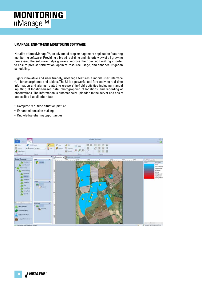# uManage™ **MONITORING**

#### **UMANAGE: END-TO-END MONITORING SOFTWARE**

Netafim offers uManage™, an advanced crop management application featuring monitoring software. Providing a broad real-time and historic view of all growing processes, the software helps growers improve their decision making in order to ensure precise fertilization, optimize resource usage, and enhance irrigation scheduling.

Highly innovative and user friendly, uManage features a mobile user interface (UI) for smartphones and tablets. The UI is a powerful tool for receiving real-time information and alarms related to growers' in-field activities including manual inputting of location-based data, photographing of locations, and recording of observations. The information is automatically uploaded to the server and easily accessible like all other data.

- Complete real-time situation picture
- Enhanced decision making
- Knowledge-sharing opportunities

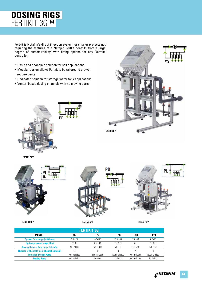# **DOSING RIGS** FERTIKIT 3G™

Fertkit is Netafim's direct injection system for smaller projects not requiring the features of a Netajet. Fertkit benefits from a large degree of customizability, with fitting options for any Netafim controller.

- Basic and economic solution for soil applications
- Modular design allows Fertkit to be tailored to grower requirements
- Dedicated solution for storage water tank applications
- Venturi based dosing channels with no moving parts











**Fertikit PBI™ Fertikit PD™ Fertikit PL™**

| <b>FERTIKIT 3G</b>                                |              |              |              |              |              |
|---------------------------------------------------|--------------|--------------|--------------|--------------|--------------|
| <b>MODEL</b>                                      | ΜS           | PL           | РB           | PD           | PBI          |
| <b>System Flow range (m3/hour)</b>                | $0.5 - 120$  | $0.5 - 120$  | $0.5 - 100$  | 20-100       | $0.5 - 20$   |
| <b>System pressure range (Bar)</b>                | $2 - 8$      | $2.5 - 6.5$  | $1 - 2.5$    | $2 - 8$      | 1 - 2.5      |
| <b>Dosing Channel flow range (litres/h)</b>       | $50 - 1000$  | $50 - 1000$  | $50 - 150$   | $50 - 250$   | $50 - 150$   |
| <b>Number of channels (acid channel optional)</b> |              |              |              |              |              |
| <b>Irrigation System Pump</b>                     | Not included | Not included | Not included | Not included | Not included |
| <b>Dosing Pump</b>                                | Not included | Included     | Included     | Not included | Included     |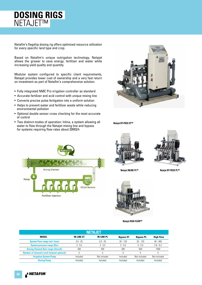# **DOSING RIGS** NETAJET™

Netafim's flagship dosing rig offers optimized resource utilization for every specific land type and crop.

Based on Netafim's unique nutrigation technology, Netajet allows the grower to save energy, fertilizer and water while increasing yield quality and quantity.

Modular system configured to specific client requirements, Netajet provides lower cost of ownership and a very fast return on investment as part of Netafim's comprehensive solution.

- Fully integrated NMC Pro irrigation controller as standard
- Accurate fertilizer and acid control with unique mixing line
- Converts precise pulse fertigation into a uniform solution
- Helps to prevent water and fertilizer waste while reducing environmental pollution
- Optional double sensor cross checking for the most accurate of control
- Two distinct modes of operation: Inline, a system allowing all water to flow through the Netajet mixing line and bypass for systems requiring flow rates about 20M3/h



**Netajet BY-PASS ST™**







**Netajet INLINE PL™**

**Netajet BY-PASS PL™**



**Netajet HIGH-FLOW™**

| NETAJET                                           |                   |                   |                  |                  |                  |
|---------------------------------------------------|-------------------|-------------------|------------------|------------------|------------------|
| MODEL                                             | <b>IN-LINE ST</b> | <b>IN-LINE PL</b> | <b>Bypass ST</b> | <b>Bypass PL</b> | <b>High Flow</b> |
| <b>System Flow range (m3/hour)</b>                | $0.5 - 20$        | $0.5 - 20$        | $20 - 120$       | $20 - 120$       | $40 - 400$       |
| <b>System pressure range (Bar)</b>                | $3 - 5.5$         | $3 - 5.5$         | $3 - 5.5$        | $3 - 5.5$        | $2.8 - 6.2$      |
| <b>Dosing Channel flow range (litres/h)</b>       | 300               | 300               | 300              | 300              | 1000             |
| <b>Number of channels (acid channel optional)</b> | 5                 | 5                 | 5                | h                | 5                |
| <b>Irrigation System Pump</b>                     | Included          | Not included      | Included         | Not included     | Not included     |
| <b>Dosing Pump</b>                                | Included          | Included          | Included         | Included         | Included         |

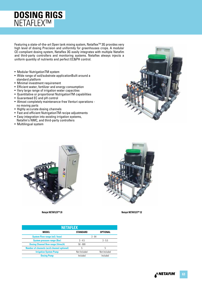# **DOSING RIGS** NETAFLEX™

Featuring a state-of-the-art Open tank mixing system, Netaflex™ 3G provides very high level of dosing Precision and uniformity for greenhouses crops. A modular CE-compliant dosing system, Netaflex 3G easily integrates with multiple Netafim and third-party controllers and monitoring systems. Netaflex always injects a uniform quantity of nutrients and perfect EC&PH control.

- Modular NutrigationTM system
- Wide range of soil/substrate applicationBuilt around a standard platform
- Minimal investment requirement
- Efficient water, fertilizer and energy consumption
- Very large range of irrigation water capacities
- Quantitative or proportional NutrigationTM capabilities
- Guaranteed EC and pH control
- Almost completely maintenance-free Venturi operations no moving parts
- Highly accurate dosing channels
- Fast and efficient NutrigationTM recipe adjustments
- Easy integration into existing irrigation systems,
- Netafim's NMC, and third-party controllers
- Multilingual system





**Netajet NETAFLEX™ 20 Netajet NETAFLEX™ 32**



| <b>NETAFLEX</b>                                    |              |              |  |  |  |
|----------------------------------------------------|--------------|--------------|--|--|--|
| <b>MODEL</b><br><b>STANDARD</b><br><b>OPTIONAL</b> |              |              |  |  |  |
| <b>System Flow range (m3/hour)</b>                 |              | $3 - 64$     |  |  |  |
| <b>System pressure range (Bar)</b>                 | $3 - 4.5$    | $3 - 5.5$    |  |  |  |
| <b>Dosing Channel flow range (litres/h)</b>        | $50 - 600$   |              |  |  |  |
| <b>Number of channels (acid channel optional)</b>  | 5            | 5            |  |  |  |
| <b>Irrigation System Pump</b>                      | Not-Included | Not-Included |  |  |  |
| <b>Dosing Pump</b>                                 | Included     | Included     |  |  |  |

**NETAFIM 63**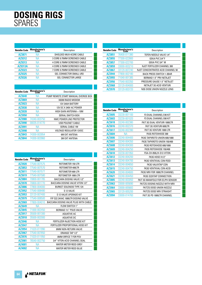# **DOSING RIGS** SPARES

| <b>Netafim Code</b> | <b>Manufacturer's</b> | Description                    |
|---------------------|-----------------------|--------------------------------|
| AZ3871              | ΝA                    | SHIELDED MUX 4CORE CABLE       |
| AZ9312              | ΝA                    | 3 CORE 0.75MM SCREENED CABLE   |
| AZ9313              | NΑ                    | 4 CORE 0.75MM SCREENED CABLE   |
| AZ9313A             | NΔ                    | 4 CORE 0.75MM SCREENED CABLE   |
| AZ9323              | ΝA                    | 7 CORE 0.75MM SCREENED CABLE   |
| AZ9325              | ΝA                    | <b>GEL CONNECTOR SMALL UR2</b> |
| AZ9326              | NΔ                    | GEL CONNECTOR LARGE            |
|                     |                       |                                |

| <b>Netafim Code</b> | <b>Manufacturer's</b><br>Code | Description                          |
|---------------------|-------------------------------|--------------------------------------|
| AZ3640              | ΝA                            | PUMP REMOTE START MANUAL OVERIDE BOX |
| AZ3869              | ΝA                            | X8200 RADIO MODEM                    |
| AZ3923              | ΝA                            | <b>12V 24AH BATTERY</b>              |
| AZ3930              | ΝA                            | 12V DC X 240V AC POWER               |
| AZ3939              | ΝA                            | HIGH GAIN ANTENNA + 10M              |
| AZ3950              | ΝA                            | <b>SERIAL SWITCH BOX</b>             |
| AZ3980              | 74340-003750                  | NMC POWER LINE PROTECTOR             |
| AZ3990              | 00035-014770                  | <b>USB POLENET CABLE</b>             |
| AZ3991              | NА                            | <b>SERIAL CABLE 1M</b>               |
| AZ3998              | ΝA                            | <b>VOLTAGE REGULATOR 12VDC</b>       |
| AZ3843              | 74300-003954                  | <b>6M EXT ANTENA</b>                 |
| AZ3844              | 74300-003960                  | <b>3M EXT ANTENA</b>                 |

| <b>Netafim Code</b> | Manufacturer's<br>Code | Description                            |
|---------------------|------------------------|----------------------------------------|
| AZ3920              | 77540-007575           | ROTOMETER 150 LTR                      |
| AZ3853              | 77540-007570           | ROTOMETER 400LTR                       |
| AZ3611              | 77540-007577           | ROTOMETER 600 LTR                      |
| AZ3619              | 77540-007580           | ROTOMETER 1000 LTR                     |
| AZ3884              | 70800-001785           | <b>BACCARA DOSING VALVE 1/2"</b>       |
| AZ3978              | 70800-001770           | <b>BACCARA DOSING VALVE VITON 1/2"</b> |
| AZ3886              | 77800-004000           | <b>BURKET SOLENOID TYPE 124</b>        |
| AZ3952              | 77540-008480           | S 12 VALVE                             |
| AZ3953              | 33120-007400           | S 12 VALVE UPGRADE KIT                 |
| AZ3979              | 77540-008500           | FIP S22 24VAC 1000LTR DOSING VALVE     |
| AZ3969              | 77800-004010           | BACCARA DOSING VALVE PLUG WITH CABLE   |
| AZ3649              | ΝA                     | FLOW SWITCH 1"                         |
| AZ3845              | 71000-002450           | <b>BERMAD 11/2" PSUS VALVE</b>         |
| AZ3917              | 35500-001300           | AQUATIVE AC                            |
| AZ3918              | 35500-002000           | AOUATIVE DC                            |
| AZ3946              | ΝA                     | FERTILIZER INJECTION HOSE KIT          |
| AZ3947              | NΑ                     | FERTILIZER PROPORTIONAL HOSE KIT       |
| AZ3954              | 71020-011990           | 8MM NON-RETURN VALVE                   |
| AZ3967              | 77540-007850           | ORANGE TAP 1/2"                        |
| AZ3976              | 71020-011950           | 8MM ORFICE T FOR PSV                   |
| AZ3981              | 76540-002750           | 3/4" VITON ACID CHANNEL SEAL           |
| AZ4001              | ΝA                     | <b>WATER METER REED GREY</b>           |
| AZ4002              | ΝA                     | WATER METER REED BLUE                  |

| <b>Netafim Code</b> | <b>Manufacturer's</b> | Description                        |
|---------------------|-----------------------|------------------------------------|
| AZ3851              | 76400-011380          | TEFEN NEEDLE VALVE 1/4"            |
| AZ3855              | 77300-022800          | GEKA PVC 3/4"F                     |
| AZ3857              | 77300-022700          | GEKA PVC 3/4" M                    |
| AZ3859              | 33000-003210          | NJET FERTILIZER CHANNEL 300        |
| AZ3867              | 33120-007240          | NJET CONCENTRATED ACID CHANNEL 50  |
| AZ3944              | 77800-002180          | <b>BACK PRESS SWITCH 1-3BAR</b>    |
| AZ3955              | 71040-001385          | BERMAD 1.5" PRV NETAJET            |
| AZ3956              | 77540-003350          | <b>PRESSURE GAUGE 1.5" NETAJET</b> |
| AZ3968              | 33120-004000          | NETAJET 3G ACID VENTURI            |
| AZ3970              | 33120-003720          | N3G DOSE UNION NOZZLE LONG         |
|                     |                       |                                    |

| <b>Netafim Code</b> | Manufacturer's<br>Code | Description                       |
|---------------------|------------------------|-----------------------------------|
| AZ3605              | 33230-001100           | F3 DUAL CHANNEL E40 KIT           |
| AZ3603              | 33230-001020           | F3 DUAL CHANNEL E60 KIT           |
| AZ3618              | 33240-002380           | FKIT 3G DUAL VENTURI 1000LTR      |
| AZ3616              | 33240-002370           | FKIT 3G VENTURI 600LTR            |
| AZ3617              | 33240-002390           | FKIT 3G VENTURI 1000 LTR          |
| AZ3604              | ΝA                     | FK3G ROTOXHOSE 300                |
| AZ3606              | 33240-004400           | FK3G TAPXROTO UNION 600/1000      |
| AZ3607              | 33240-004350           | FK3G TAPXROTO UNION 150/400       |
| AZ3608              | 33240-004300           | FK3G ROTOXHOSE 600/1000           |
| AZ3609              | 33240-004250           | FK3G ROTOXHOSE 150/400            |
| AZ3610              | 33230-001950           | FSA-CH-050L/H-S12-VITON           |
| AZ3612              | 33240-004200           | <b>FK3G HOSE X1/2"</b>            |
| AZ3613              | 33240-004700           | <b>FK3G VENTXVAL CON FEED</b>     |
| AZ3614              | 33240-004650           | <b>FK3G VALVXTAP CON</b>          |
| AZ3615              | 33240-004750           | <b>FK3G VENTXVAL CON ACID</b>     |
| AZ3620              | 33240-004600           | FK3G NRV FOR 1000LTR CHANNEL      |
| AZ3621              | 33240-004450           | <b>FK3G S22XTAP CONNECTION</b>    |
| AZ3885              | 33240-003050           | FKIT 3G MANIFOLD FOR EC/PH SENSOR |
| AZ3963              | 33000-005690           | FKITZG DOSING NOZZLE WITH NRV     |
| AZ3964              | 33000-005683           | FKITZG DOSE UNION NOZZLE          |
| AZ3965              | 33120-005200           | <b>FKITZG DOSE NRV STRAIGHT</b>   |
| AZ3994              | 33000-014760           | FKIT 2G PD 1000LTR CHANNEL        |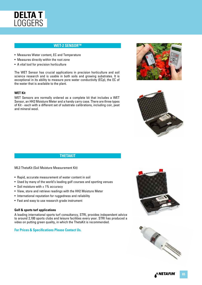

### **WET-2 SENSORTM**

- Measures Water content, EC and Temperature
- Measures directly within the root zone
- A vital tool for precision horticulture

The WET Sensor has crucial applications in precision horticulture and soil science research and is usable in both soils and growing substrates. It is exceptional in its ability to measure pore water conductivity (ECp), the EC of the water that is available to the plant.

#### **WET Kit**

WET Sensors are normally ordered as a complete kit that includes a WET Sensor, an HH2 Moisture Meter and a handy carry case. There are three types of Kit - each with a different set of substrate calibrations, including coir, peat and mineral wool.





#### **THETAKIT**

ML3 ThetaKit (Soil Moisture Measurement Kit)

- Rapid, accurate measurement of water content in soil
- Used by many of the world's leading golf courses and sporting venues
- Soil moisture with  $\pm$  1% accuracy
- View, store and retrieve readings with the HH2 Moisture Meter
- International reputation for ruggedness and reliability
- Fast and easy to use research grade instrument

#### **Golf & sports turf applications**

A leading international sports turf consultancy, STRI, provides independent advice to around 2,100 sports clubs and leisure facilities every year. STRI has produced a video on putting green quality, in which the ThetaKit is recommended.

#### **For Prices & Specifications Please Contact Us.**



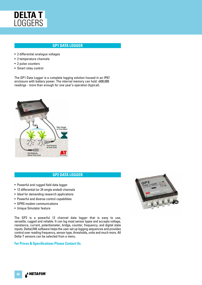

### **GP1 DATA LOGGER**

- 2 differential analogue voltages
- 2 temperature channels
- 2 pulse counters
- Smart relay control

The GP1 Data Logger is a complete logging solution housed in an IP67 enclosure with battery power. The internal memory can hold >600,000 readings - more than enough for one year's operation (typical).



### **GP2 DATA LOGGER**

- Powerful and rugged field data logger
- 12 differential (or 24 single ended) channels
- Ideal for demanding research applications
- Powerful and diverse control capabilities
- GPRS modem communications
- Unique Simulator feature

The GP2 is a powerful 12 channel data logger that is easy to use, versatile, rugged and reliable. It can log most sensor types and accepts voltage, resistance, current, potentiometer, bridge, counter, frequency, and digital state inputs. DeltaLINK software helps the user set up logging sequences and provides control over reading frequency, sensor type, thresholds, units and much more. All Delta-T sensors can be selected from a menu.

#### **For Prices & Specifications Please Contact Us.**



**NETAFIM** ه **66**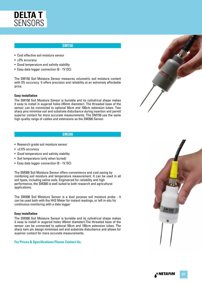

#### **SM150**

- Cost effective soil moisture sensor
- $\bullet$   $+3\%$  accuracy
- Good temperature and salinity stability
- Easy data logger connection (0 1V DC)

The SM150 Soil Moisture Sensor measures volumetric soil moisture content with 3% accuracy. It offers precision and reliability at an extremely affordable price.

#### **Easy installation**

The SM150 Soil Moisture Sensor is buriable and its cylindrical shape makes it easy to install in augered holes (45mm diameter). The threaded base of the sensor can be connected to optional 50cm and 100cm extension tubes. Two sharp pins minimise soil and substrate disturbance during insertion and permit superior contact for more accurate measurements. The SM150 use the same high quality range of cables and extensions as the SM300 Sensor.

#### **SM300**

- Research grade soil moisture sensor
- $\cdot$  ±2.5% accuracy
- Good temperature and salinity stability
- Soil temperature (only when buried)
- Easy data logger connection (0 1V DC)

The SM300 Soil Moisture Sensor offers convenience and cost saving by combining soil moisture and temperature measurement. It can be used in all soil types, including saline soils. Engineered for reliability and high performance, the SM300 is well suited to both research and agricultural applications.

The SM300 Soil Moisture Sensor is a dual purpose soil moisture probe - it can be used both with the HH2 Meter for instant readings, or left in-situ for continuous monitoring with a data logger

#### **Easy installation**

The SM300 Soil Moisture Sensor is buriable and its cylindrical shape makes it easy to install in augered holes (45mm diameter).The threaded base of the sensor can be connected to optional 50cm and 100cm extension tubes. The sharp twin pin design minimises soil and substrate disturbance and allows for superior contact for more accurate measurements.

#### **For Prices & Specifications Please Contact Us.**





NETAFI **67**